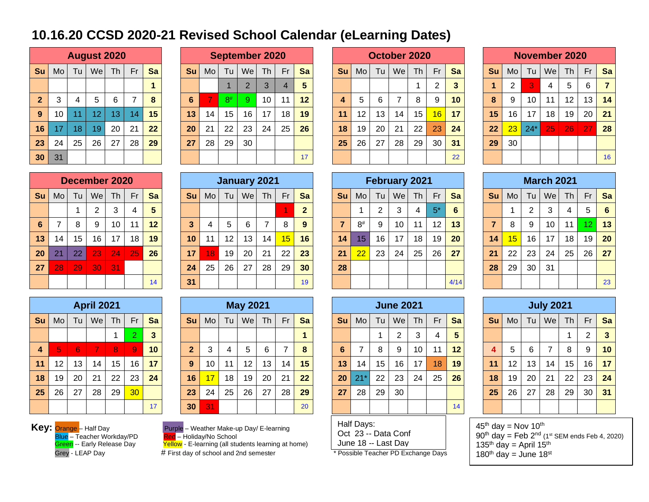## **10.16.20 CCSD 2020-21 Revised School Calendar (eLearning Dates)**

|                |    |    | <b>August 2020</b> |    |    |    |    |    | Sept           |
|----------------|----|----|--------------------|----|----|----|----|----|----------------|
| Su             | Mo | Tu | We                 | Th | Fr | Sa | Su | Mo | Т              |
|                |    |    |                    |    |    | 1  |    |    | 1              |
| $\overline{2}$ | 3  | 4  | 5                  | 6  | 7  | 8  | 6  | 7  | 8              |
| 9              | 10 | 11 | 12                 | 13 | 14 | 15 | 13 | 14 | $\ddagger$     |
| 16             | 17 | 18 | 19                 | 20 | 21 | 22 | 20 | 21 | 2 <sup>i</sup> |
| 23             | 24 | 25 | 26                 | 27 | 28 | 29 | 27 | 28 | $\mathbf{2}$   |
| 30             | 31 |    |                    |    |    |    |    |    |                |

|                 |     |    |                 | <b>August 2020</b> |           |    |           |                |          | <b>September 2020</b> |                 |    |           |      |    |                 | October 2020 |    |          |              |           |                 |       | <b>November 2020</b> |           |    |                |
|-----------------|-----|----|-----------------|--------------------|-----------|----|-----------|----------------|----------|-----------------------|-----------------|----|-----------|------|----|-----------------|--------------|----|----------|--------------|-----------|-----------------|-------|----------------------|-----------|----|----------------|
| Su              | Mo. | Tu | We              | <b>Th</b>          | <b>Fr</b> | Sa | <b>Su</b> | M <sub>o</sub> | Tu       | Wel                   | <b>Th</b>       | Fr | <b>Sa</b> | Su l | Mo | Tu I            | We           | Th | Fr       | <b>Sa</b>    | <b>Su</b> | M <sub>O</sub>  | Tu    | Wel                  | <b>Th</b> | Fr | Sa             |
|                 |     |    |                 |                    |           |    |           |                |          |                       |                 | 4  |           |      |    |                 |              |    | $\Omega$ | $\mathbf{3}$ |           | $\overline{2}$  | 3     | 4                    | 5         | 6  | $\overline{7}$ |
| 2 <sup>1</sup>  | ົ   |    | 5               | 6                  |           | 8  | 6         |                | $8^{\#}$ | 9                     | 10 <sup>°</sup> | 11 | $12 \,$   |      | 5  | 6               |              | 8  | 9        | 10           | 8         | 9               | 10    | 11                   | 12        | 13 | 14             |
| 9 <sup>°</sup>  | 10  | 11 | 12 <sup>°</sup> | 13                 | 14        | 15 | 13        | 14             | 15       | 16                    | 17              | 18 | 19        | 11   | 12 | 13 <sub>1</sub> | 14           | 15 | 16       | 17           | 15        | 16              | 17    | 18                   | 19        | 20 | $\vert$ 21     |
| 16              | 17  | 18 | 19              | 20                 | 21        | 22 | 20        | 21             | 22       | 23                    | 24              | 25 | 26        | 18   | 19 | 20              | 21           | 22 | 23       | 24           | 22        | 23              | $24*$ | 25                   | 26        | 27 | 28             |
| 23              | 24  | 25 | 26              | 27                 | 28        | 29 | 27        | 28             | 29       | 30                    |                 |    |           | 25   | 26 | 27              | 28           | 29 | 30       | 31           | 29        | 30 <sub>2</sub> |       |                      |           |    |                |
| 30 <sub>1</sub> | 31  |    |                 |                    |           |    |           |                |          |                       |                 |    | 17        |      |    |                 |              |    |          | 22           |           |                 |       |                      |           |    | 16             |

|                 |                |    |                | December 2020 |    |    |
|-----------------|----------------|----|----------------|---------------|----|----|
| Su              | Mo             | Tu | We             | Th            | Fr | Sa |
|                 |                | 1  | $\overline{2}$ | 3             | 4  | 5  |
| $6\phantom{1}6$ | $\overline{7}$ | 8  | 9              | 10            | 11 | 12 |
| 13              | 14             | 15 | 16             | 17            | 18 | 19 |
| 20              | 21             | 22 | 23             | 24            | 25 | 26 |
| 27              | 28             | 29 | 30             | 31            |    |    |
|                 |                |    |                |               |    | 14 |

|                 |    |    |     | December 2020 |           |    |              |                |    | January 2021 |    |    |                 |           |          |                 | February 2021 |           |       |           |           |                |    | <b>March 2021</b> |    |    |         |
|-----------------|----|----|-----|---------------|-----------|----|--------------|----------------|----|--------------|----|----|-----------------|-----------|----------|-----------------|---------------|-----------|-------|-----------|-----------|----------------|----|-------------------|----|----|---------|
| <b>Su</b>       | Mo | Tu | Wel | Th            | <b>Fr</b> | Sa | <b>Su</b>    | M <sub>o</sub> | Tu | We           | Th | Fr | Sa              | <b>Su</b> | Mo       | Tul             | We            | <b>Th</b> | Fr    | Sa        | <b>Su</b> | M <sub>O</sub> | Tu | Wel               | Th | Fr | Sa      |
|                 |    |    |     | 3             |           | 5  |              |                |    |              |    |    | $\mathbf{2}$    |           |          | റ               | 3             |           | $5^*$ | 6         |           |                | 2  |                   | 4  | 5  | - 6     |
| $6^{\circ}$     |    | 8  | 9   | 10            | 11        | 12 | $\mathbf{3}$ |                | 5  | 6            |    | 8  |                 |           | $8^{\#}$ | 9               | 10            | 11        | 12    | 13        |           | 8              | 9  | 10                | 11 |    | $12$ 13 |
| 13              | 14 | 15 | 16  | 17            | 18        | 19 | 10           | 11             | 12 | 13           | 14 | 15 | 16              | 14        | 15       | 16              | 17            | 18        | 19    | <b>20</b> | 14        | 15             | 16 | 17                | 18 | 19 | 20      |
| 20 <sub>2</sub> | 21 | 22 | 23  | 24            | 25        | 26 | 17           |                | 19 | 20           | 21 | 22 | 23              | 21        | 22       | 23 <sub>1</sub> | 24            | 25        | 26    | 27        | 21        | 22             | 23 | 24                | 25 | 26 | 27      |
| 27              | 28 | 29 | 30  | 31            |           |    | 24           | 25             | 26 | 27           | 28 | 29 | 30 <sup>°</sup> | 28        |          |                 |               |           |       |           | 28        | 29             | 30 | 31                |    |    |         |
|                 |    |    |     |               |           | 14 | 31           |                |    |              |    |    | 19              |           |          |                 |               |           |       | 4/14      |           |                |    |                   |    |    | 23      |

|                         |                       |    | <b>April 2021</b> |    |    |    |  |  |  |  |  |  |
|-------------------------|-----------------------|----|-------------------|----|----|----|--|--|--|--|--|--|
| Su                      | Mo                    | Tu | We                | Th | Fr | Sa |  |  |  |  |  |  |
|                         | $\overline{2}$<br>1   |    |                   |    |    |    |  |  |  |  |  |  |
| $\overline{\mathbf{4}}$ | 5<br>8<br>6<br>7<br>9 |    |                   |    |    |    |  |  |  |  |  |  |
| 11                      | 12                    | 13 | 14                | 15 | 16 | 17 |  |  |  |  |  |  |
| 18                      | 19                    | 20 | 21                | 22 | 23 | 24 |  |  |  |  |  |  |
| 25                      | 26                    | 27 | 28                | 29 | 30 |    |  |  |  |  |  |  |
|                         |                       |    |                   |    |    | 17 |  |  |  |  |  |  |

| Mo | Tu | We | <b>Th</b>       | Fr                | Sa | <b>Su</b>      | M <sub>O</sub> | <b>Tu</b> | We | <b>Th</b> | Fr              | <b>Sa</b> | <b>Su</b>       | Mo    |    | We | Th              | Fr               | <b>Sa</b> | <b>Su</b> |                 | Tu |                | <b>Th</b> | Fr                     | Sa |
|----|----|----|-----------------|-------------------|----|----------------|----------------|-----------|----|-----------|-----------------|-----------|-----------------|-------|----|----|-----------------|------------------|-----------|-----------|-----------------|----|----------------|-----------|------------------------|----|
|    |    |    |                 |                   | 3  |                |                |           |    |           |                 |           |                 |       |    | ົ  | $\sim$<br>د.    | 4                | 5         |           |                 |    |                |           | ⌒                      | 3  |
| 5  | 6  |    | 8               | 9                 | 10 | 2 <sup>1</sup> | 3              | 4         | 5  | 6         |                 | 8         | 6               |       | 8  | 9  | 10              | 11               | 12        |           | $5^{\circ}$     | 6  |                | 8         | 9                      | 10 |
| 12 |    | 14 | 15              | 16                | 17 | 9              | 10             | 11        | 12 | 13        | 14              | 15        | 13 <sub>1</sub> | 14    | 15 | 16 | 17 <sup>2</sup> | 18               | 19        | 11        | 12 <sup>2</sup> | 13 | 14             | 15        | 16                     | 17 |
| 19 | 20 | 21 | 22              | 23                | 24 | 16             | 17             | 18        | 19 | 20        | 21              | 22        | 20              | $21*$ | 22 | 23 | 24              | 25               | <b>26</b> | 18        | 19              | 20 | 21             | 22        | $23 \mid$              | 24 |
| 26 | 27 | 28 | 29              | 30 <sup>1</sup>   |    | 23             | 24             | 25        | 26 | 27        | 28              | 29        | 27              | 28    | 29 | 30 |                 |                  |           | 25        | 26              | 27 | 28             | 29        | 30 <sup>1</sup>        | 31 |
|    |    |    |                 |                   | 17 | 30             | 31             |           |    |           |                 | 20        |                 |       |    |    |                 |                  | 14        |           |                 |    |                |           |                        |    |
|    |    |    | 13 <sub>1</sub> | <b>April 2021</b> |    |                |                |           |    |           | <b>May 2021</b> |           |                 |       |    |    | Tu l            | <b>June 2021</b> |           |           |                 |    | M <sub>O</sub> |           | <b>July 2021</b><br>We |    |

Key: **Orange** – Half Day **Purple – Weather Make-up Day/ E-learning** Blue – Teacher Workday/PD<br>
Green -- Early Release Day

Green -- Wearlor Make ap Bay, E-learning<br>Red -- Holiday/No School<br>Yellow - E-learning (all students learning at home)

Grey - LEAP Day **# First day of school and 2nd semester** \* Possible Teacher PD Exchange Days

|   | tember 2020    |    |    |    |    |    |    | October 2020 |    |    |    |    |     |       | <b>November 2020</b> |    |    |    |
|---|----------------|----|----|----|----|----|----|--------------|----|----|----|----|-----|-------|----------------------|----|----|----|
| T | <b>We</b>      | Th | Fr | Sa | Su | Mo | Tu | <b>We</b>    | Th | Fr | Sa | Su | Mo. | Tu    | We                   | Th | Fr | Sa |
|   | $\overline{2}$ | 3  | 4  | 5  |    |    |    |              |    | 2  | 3  |    | ⌒   | 3     | 4                    | 5  | 6  | 7  |
|   | 9              | 10 | 11 | 12 | 4  | 5  | 6  |              | 8  | 9  | 10 | 8  | 9   | 10    | 11                   | 12 | 13 | 14 |
|   | 16             | 17 | 18 | 19 | 11 | 12 | 13 | 14           | 15 | 16 | 17 | 15 | 16  | 17    | 18                   | 19 | 20 | 21 |
|   | 23             | 24 | 25 | 26 | 18 | 19 | 20 | 21           | 22 | 23 | 24 | 22 | 23  | $24*$ | 25                   | 26 | 27 | 28 |
|   | 30             |    |    |    | 25 | 26 | 27 | 28           | 29 | 30 | 31 | 29 | 30  |       |                      |    |    |    |
|   |                |    |    | 17 |    |    |    |              |    |    | 22 |    |     |       |                      |    |    | 16 |

|    |    |       | November 2020 |    |    |    |
|----|----|-------|---------------|----|----|----|
| Su | Mo | Tu    | We            | Th | Fr | Sa |
| 1  | 2  | 3     | 4             | 5  | 6  | 7  |
| 8  | 9  | 10    | 11            | 12 | 13 | 14 |
| 15 | 16 | 17    | 18            | 19 | 20 | 21 |
| 22 | 23 | $24*$ | 25            | 26 | 27 | 28 |
| 29 | 30 |       |               |    |    |    |
|    |    |       |               |    |    | 16 |

|                |                                       |                | <b>February 2021</b> |                |      |                 |  |  |  |  |  |  |  |  |  |
|----------------|---------------------------------------|----------------|----------------------|----------------|------|-----------------|--|--|--|--|--|--|--|--|--|
| Su             | Mo                                    | Tu             | We                   | Th             | Fr   | Sa              |  |  |  |  |  |  |  |  |  |
|                | 1                                     | $\overline{2}$ | 3                    | $\overline{4}$ | $5*$ | $6\phantom{1}6$ |  |  |  |  |  |  |  |  |  |
| $\overline{7}$ | $8^{\#}$<br>13<br>12<br>10<br>9<br>11 |                |                      |                |      |                 |  |  |  |  |  |  |  |  |  |
| 14             | 15                                    | 16             | 17                   | 18             | 19   | 20              |  |  |  |  |  |  |  |  |  |
| 21             | 22                                    | 23             | 24                   | 25             | 26   | 27              |  |  |  |  |  |  |  |  |  |
| 28             |                                       |                |                      |                |      |                 |  |  |  |  |  |  |  |  |  |
|                |                                       |                |                      |                |      | 4/14            |  |  |  |  |  |  |  |  |  |

|                 |                                                     |    | <b>June 2021</b> |    |    |    |  |  |  |  |  |  |  |
|-----------------|-----------------------------------------------------|----|------------------|----|----|----|--|--|--|--|--|--|--|
| Su              | Mo                                                  | Tu | We               | Th | Fr | Sa |  |  |  |  |  |  |  |
|                 |                                                     | 4  | 5                |    |    |    |  |  |  |  |  |  |  |
| $6\phantom{1}6$ | $\overline{2}$<br>3<br>1<br>10<br>9<br>11<br>8<br>7 |    |                  |    |    |    |  |  |  |  |  |  |  |
| 13              | 14                                                  | 15 | 16               | 17 | 18 | 19 |  |  |  |  |  |  |  |
| 20              | $21*$                                               | 22 | 23               | 24 | 25 | 26 |  |  |  |  |  |  |  |
| 27              | 28                                                  | 29 | 30               |    |    |    |  |  |  |  |  |  |  |
|                 |                                                     |    |                  |    |    | 14 |  |  |  |  |  |  |  |

Half Days: Oct 23 -- Data Conf

June 18 -- Last Day

|   |    | <b>February 2021</b> |    |      |      |    |    |                | <b>March 2021</b> |    |    |    |
|---|----|----------------------|----|------|------|----|----|----------------|-------------------|----|----|----|
| O | Tu | We                   | Th | Fr   | Sa   | Su | Mo | Tu             | We                | Th | Fr | Sa |
|   | 2  | 3                    | 4  | $5*$ | 6    |    | 1  | $\overline{2}$ | 3                 | 4  | 5  | 6  |
| # | 9  | 10                   | 11 | 12   | 13   | 7  | 8  | 9              | 10                | 11 | 12 | 13 |
| 5 | 16 | 17                   | 18 | 19   | 20   | 14 | 15 | 16             | 17                | 18 | 19 | 20 |
| 2 | 23 | 24                   | 25 | 26   | 27   | 21 | 22 | 23             | 24                | 25 | 26 | 27 |
|   |    |                      |    |      |      | 28 | 29 | 30             | 31                |    |    |    |
|   |    |                      |    |      | 4/14 |    |    |                |                   |    |    | 23 |

|    |    |    | <b>July 2021</b> |    |    |    |
|----|----|----|------------------|----|----|----|
| Su | Mo | Tu | We               | Th | Fr | Sa |
|    |    | 3  |                  |    |    |    |
| 4  | 5  | 6  | $\overline{7}$   | 8  | 9  | 10 |
| 11 | 12 | 13 | 14               | 15 | 16 | 17 |
| 18 | 19 | 20 | 21               | 22 | 23 | 24 |
| 25 | 26 | 27 | 28               | 29 | 30 | 31 |
|    |    |    |                  |    |    |    |

 $45<sup>th</sup>$  day = Nov 10<sup>th</sup>  $90^{\text{th}}$  day = Feb  $2^{\text{nd}}$  (1st SEM ends Feb 4, 2020) 135<sup>th</sup> day = April 15<sup>th</sup> 180<sup>th</sup> day = June 18<sup>st</sup>